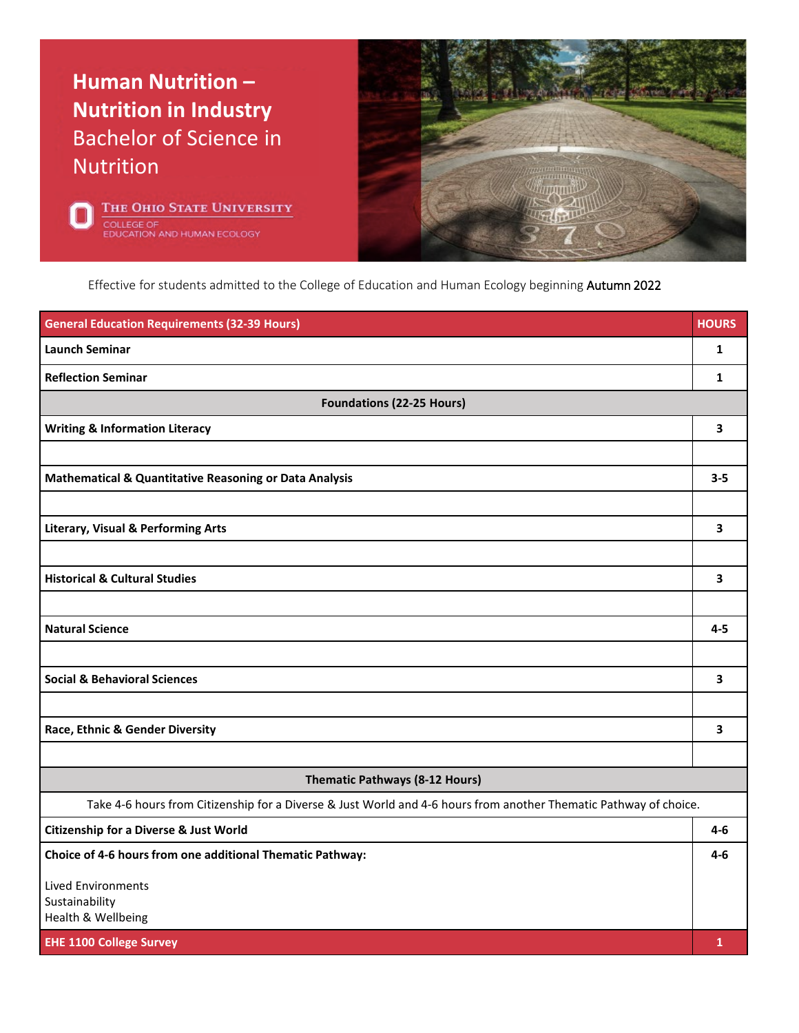## **Human Nutrition – Nutrition in Industry** Bachelor of Science in Nutrition





Effective for students admitted to the College of Education and Human Ecology beginning Autumn 2022

| <b>General Education Requirements (32-39 Hours)</b>                                                               | <b>HOURS</b> |
|-------------------------------------------------------------------------------------------------------------------|--------------|
| <b>Launch Seminar</b>                                                                                             | 1            |
| <b>Reflection Seminar</b>                                                                                         | 1            |
| <b>Foundations (22-25 Hours)</b>                                                                                  |              |
| <b>Writing &amp; Information Literacy</b>                                                                         | 3            |
|                                                                                                                   |              |
| <b>Mathematical &amp; Quantitative Reasoning or Data Analysis</b>                                                 | $3 - 5$      |
|                                                                                                                   |              |
| <b>Literary, Visual &amp; Performing Arts</b>                                                                     | 3            |
|                                                                                                                   |              |
| <b>Historical &amp; Cultural Studies</b>                                                                          | 3            |
|                                                                                                                   |              |
| <b>Natural Science</b>                                                                                            | $4 - 5$      |
|                                                                                                                   |              |
| <b>Social &amp; Behavioral Sciences</b>                                                                           | 3            |
|                                                                                                                   |              |
| Race, Ethnic & Gender Diversity                                                                                   | 3            |
|                                                                                                                   |              |
| <b>Thematic Pathways (8-12 Hours)</b>                                                                             |              |
| Take 4-6 hours from Citizenship for a Diverse & Just World and 4-6 hours from another Thematic Pathway of choice. |              |
| <b>Citizenship for a Diverse &amp; Just World</b>                                                                 | 4-6          |
| Choice of 4-6 hours from one additional Thematic Pathway:                                                         | 4-6          |
| <b>Lived Environments</b>                                                                                         |              |
| Sustainability<br>Health & Wellbeing                                                                              |              |
| <b>EHE 1100 College Survey</b>                                                                                    | $\mathbf{1}$ |